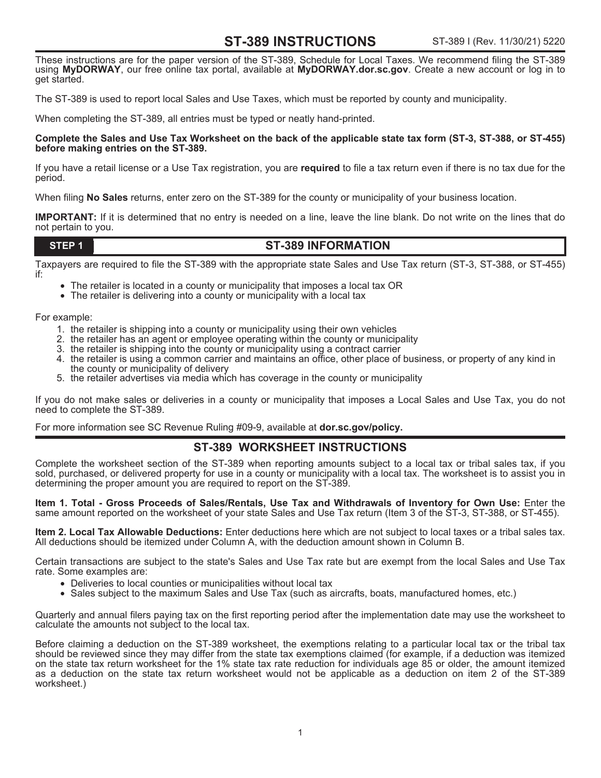# **ST-389 INSTRUCTIONS**

These instructions are for the paper version of the ST-389, Schedule for Local Taxes. We recommend filing the ST-389 using **MyDORWAY**, our free online tax portal, available at **MyDORWAY.dor.sc.gov**. Create a new account or log in to get started.

The ST-389 is used to report local Sales and Use Taxes, which must be reported by county and municipality.

When completing the ST-389, all entries must be typed or neatly hand-printed.

#### **Complete the Sales and Use Tax Worksheet on the back of the applicable state tax form (ST-3, ST-388, or ST-455) before making entries on the ST-389.**

If you have a retail license or a Use Tax registration, you are **required** to file a tax return even if there is no tax due for the period.

When filing **No Sales** returns, enter zero on the ST-389 for the county or municipality of your business location.

**IMPORTANT:** If it is determined that no entry is needed on a line, leave the line blank. Do not write on the lines that do not pertain to you.

### **STEP 1**

## **ST-389 INFORMATION**

Taxpayers are required to file the ST-389 with the appropriate state Sales and Use Tax return (ST-3, ST-388, or ST-455) if:

- The retailer is located in a county or municipality that imposes a local tax OR
- The retailer is delivering into a county or municipality with a local tax

For example:

- 1. the retailer is shipping into a county or municipality using their own vehicles
- 2. the retailer has an agent or employee operating within the county or municipality
- 3. the retailer is shipping into the county or municipality using a contract carrier
- 4. the retailer is using a common carrier and maintains an office, other place of business, or property of any kind in the county or municipality of delivery
- 5. the retailer advertises via media which has coverage in the county or municipality

If you do not make sales or deliveries in a county or municipality that imposes a Local Sales and Use Tax, you do not need to complete the ST-389.

For more information see SC Revenue Ruling #09-9, available at **dor.sc.gov/policy.**

## **ST-389 WORKSHEET INSTRUCTIONS**

Complete the worksheet section of the ST-389 when reporting amounts subject to a local tax or tribal sales tax, if you sold, purchased, or delivered property for use in a county or municipality with a local tax. The worksheet is to assist you in determining the proper amount you are required to report on the ST-389.

**Item 1. Total - Gross Proceeds of Sales/Rentals, Use Tax and Withdrawals of Inventory for Own Use:** Enter the same amount reported on the worksheet of your state Sales and Use Tax return (Item 3 of the ST-3, ST-388, or ST-455).

**Item 2. Local Tax Allowable Deductions:** Enter deductions here which are not subject to local taxes or a tribal sales tax. All deductions should be itemized under Column A, with the deduction amount shown in Column B.

Certain transactions are subject to the state's Sales and Use Tax rate but are exempt from the local Sales and Use Tax rate. Some examples are:

- Deliveries to local counties or municipalities without local tax
- Sales subject to the maximum Sales and Use Tax (such as aircrafts, boats, manufactured homes, etc.)

Quarterly and annual filers paying tax on the first reporting period after the implementation date may use the worksheet to calculate the amounts not subject to the local tax.

Before claiming a deduction on the ST-389 worksheet, the exemptions relating to a particular local tax or the tribal tax should be reviewed since they may differ from the state tax exemptions claimed (for example, if a deduction was itemized on the state tax return worksheet for the 1% state tax rate reduction for individuals age 85 or older, the amount itemized as a deduction on the state tax return worksheet would not be applicable as a deduction on item 2 of the ST-389 worksheet.)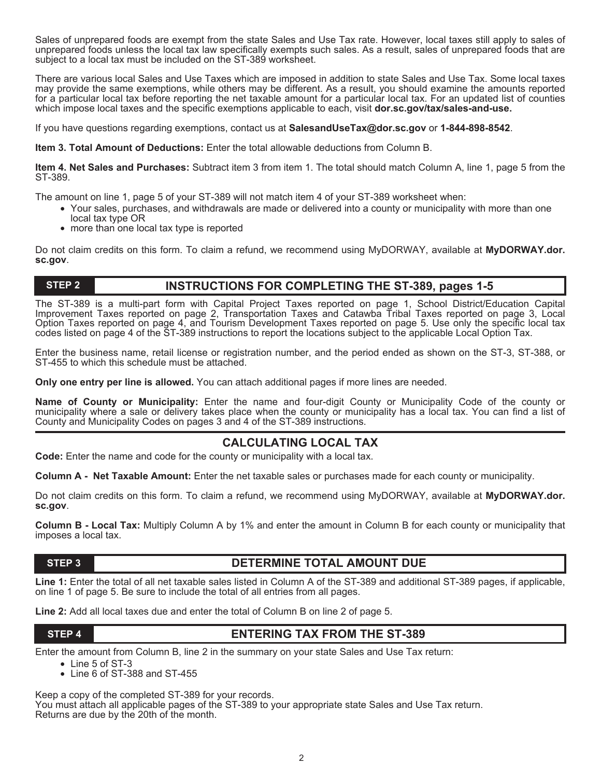Sales of unprepared foods are exempt from the state Sales and Use Tax rate. However, local taxes still apply to sales of unprepared foods unless the local tax law specifically exempts such sales. As a result, sales of unprepared foods that are subject to a local tax must be included on the ST-389 worksheet.

There are various local Sales and Use Taxes which are imposed in addition to state Sales and Use Tax. Some local taxes may provide the same exemptions, while others may be different. As a result, you should examine the amounts reported for a particular local tax before reporting the net taxable amount for a particular local tax. For an updated list of counties which impose local taxes and the specific exemptions applicable to each, visit **dor.sc.gov/tax/sales-and-use.** 

If you have questions regarding exemptions, contact us at **SalesandUseTax@dor.sc.gov** or **1-844-898-8542**.

**Item 3. Total Amount of Deductions:** Enter the total allowable deductions from Column B.

**Item 4. Net Sales and Purchases:** Subtract item 3 from item 1. The total should match Column A, line 1, page 5 from the ST-389.

The amount on line 1, page 5 of your ST-389 will not match item 4 of your ST-389 worksheet when:

- Your sales, purchases, and withdrawals are made or delivered into a county or municipality with more than one local tax type OR
- more than one local tax type is reported

Do not claim credits on this form. To claim a refund, we recommend using MyDORWAY, available at **MyDORWAY.dor. sc.gov**.

#### **STEP 2**

## **INSTRUCTIONS FOR COMPLETING THE ST-389, pages 1-5**

The ST-389 is a multi-part form with Capital Project Taxes reported on page 1, School District/Education Capital Improvement Taxes reported on page 2, Transportation Taxes and Catawba Tribal Taxes reported on page 3, Local Option Taxes reported on page 4, and Tourism Development Taxes reported on page 5. Use only the specific local tax codes listed on page 4 of the ST-389 instructions to report the locations subject to the applicable Local Option Tax.

Enter the business name, retail license or registration number, and the period ended as shown on the ST-3, ST-388, or ST-455 to which this schedule must be attached.

**Only one entry per line is allowed.** You can attach additional pages if more lines are needed.

**Name of County or Municipality:** Enter the name and four-digit County or Municipality Code of the county or municipality where a sale or delivery takes place when the county or municipality has a local tax. You can find a list of County and Municipality Codes on pages 3 and 4 of the ST-389 instructions.

# **CALCULATING LOCAL TAX**

**Code:** Enter the name and code for the county or municipality with a local tax.

**Column A - Net Taxable Amount:** Enter the net taxable sales or purchases made for each county or municipality.

Do not claim credits on this form. To claim a refund, we recommend using MyDORWAY, available at **MyDORWAY.dor. sc.gov**.

**Column B - Local Tax:** Multiply Column A by 1% and enter the amount in Column B for each county or municipality that imposes a local tax.

# **STEP 3 DETERMINE TOTAL AMOUNT DUE**

Line 1: Enter the total of all net taxable sales listed in Column A of the ST-389 and additional ST-389 pages, if applicable, on line 1 of page 5. Be sure to include the total of all entries from all pages.

**Line 2:** Add all local taxes due and enter the total of Column B on line 2 of page 5.

# **STEP 4 ENTERING TAX FROM THE ST-389**

Enter the amount from Column B, line 2 in the summary on your state Sales and Use Tax return:

- Line 5 of ST-3
- Line 6 of ST-388 and ST-455

Keep a copy of the completed ST-389 for your records.

You must attach all applicable pages of the ST-389 to your appropriate state Sales and Use Tax return. Returns are due by the 20th of the month.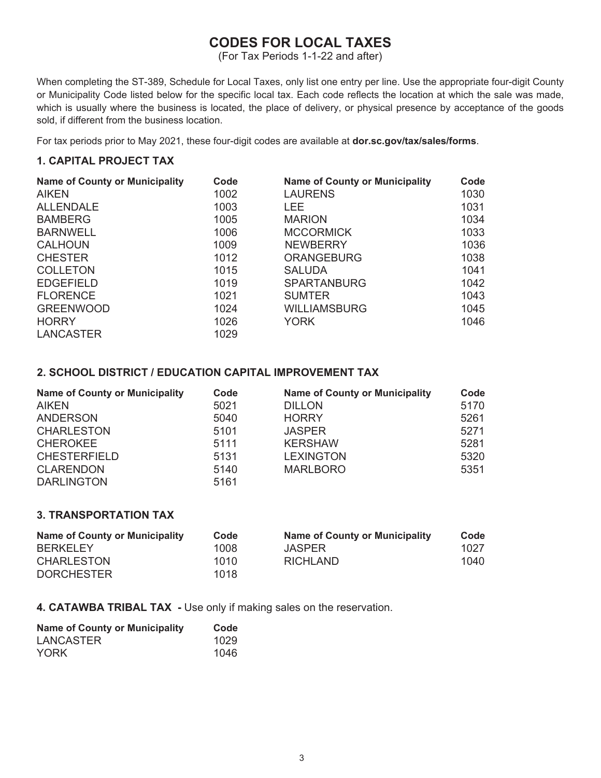# **CODES FOR LOCAL TAXES**

(For Tax Periods 1-1-22 and after)

When completing the ST-389, Schedule for Local Taxes, only list one entry per line. Use the appropriate four-digit County or Municipality Code listed below for the specific local tax. Each code reflects the location at which the sale was made, which is usually where the business is located, the place of delivery, or physical presence by acceptance of the goods sold, if different from the business location.

For tax periods prior to May 2021, these four-digit codes are available at **dor.sc.gov/tax/sales/forms**.

## **1. CAPITAL PROJECT TAX**

| <b>Name of County or Municipality</b> | Code | <b>Name of County or Municipality</b> | Code |
|---------------------------------------|------|---------------------------------------|------|
| <b>AIKEN</b>                          | 1002 | <b>LAURENS</b>                        | 1030 |
| <b>ALLENDALE</b>                      | 1003 | LEE.                                  | 1031 |
| <b>BAMBERG</b>                        | 1005 | <b>MARION</b>                         | 1034 |
| <b>BARNWELL</b>                       | 1006 | <b>MCCORMICK</b>                      | 1033 |
| <b>CALHOUN</b>                        | 1009 | <b>NEWBERRY</b>                       | 1036 |
| <b>CHESTER</b>                        | 1012 | <b>ORANGEBURG</b>                     | 1038 |
| <b>COLLETON</b>                       | 1015 | <b>SALUDA</b>                         | 1041 |
| <b>EDGEFIELD</b>                      | 1019 | <b>SPARTANBURG</b>                    | 1042 |
| <b>FLORENCE</b>                       | 1021 | <b>SUMTER</b>                         | 1043 |
| <b>GREENWOOD</b>                      | 1024 | <b>WILLIAMSBURG</b>                   | 1045 |
| <b>HORRY</b>                          | 1026 | <b>YORK</b>                           | 1046 |
| <b>LANCASTER</b>                      | 1029 |                                       |      |

### **2. SCHOOL DISTRICT / EDUCATION CAPITAL IMPROVEMENT TAX**

| <b>Name of County or Municipality</b> | Code | <b>Name of County or Municipality</b> | Code |
|---------------------------------------|------|---------------------------------------|------|
| <b>AIKEN</b>                          | 5021 | <b>DILLON</b>                         | 5170 |
| <b>ANDERSON</b>                       | 5040 | <b>HORRY</b>                          | 5261 |
| <b>CHARLESTON</b>                     | 5101 | <b>JASPER</b>                         | 5271 |
| <b>CHEROKEE</b>                       | 5111 | <b>KERSHAW</b>                        | 5281 |
| <b>CHESTERFIELD</b>                   | 5131 | <b>LEXINGTON</b>                      | 5320 |
| <b>CLARENDON</b>                      | 5140 | <b>MARLBORO</b>                       | 5351 |
| <b>DARLINGTON</b>                     | 5161 |                                       |      |

## **3. TRANSPORTATION TAX**

| <b>Name of County or Municipality</b> | Code | <b>Name of County or Municipality</b> | Code |
|---------------------------------------|------|---------------------------------------|------|
| <b>BERKELEY</b>                       | 1008 | <b>JASPER</b>                         | 1027 |
| <b>CHARLESTON</b>                     | 1010 | <b>RICHLAND</b>                       | 1040 |
| <b>DORCHESTER</b>                     | 1018 |                                       |      |

**4. CATAWBA TRIBAL TAX -** Use only if making sales on the reservation.

| <b>Name of County or Municipality</b> | Code |
|---------------------------------------|------|
| LANCASTER                             | 1029 |
| <b>YORK</b>                           | 1046 |